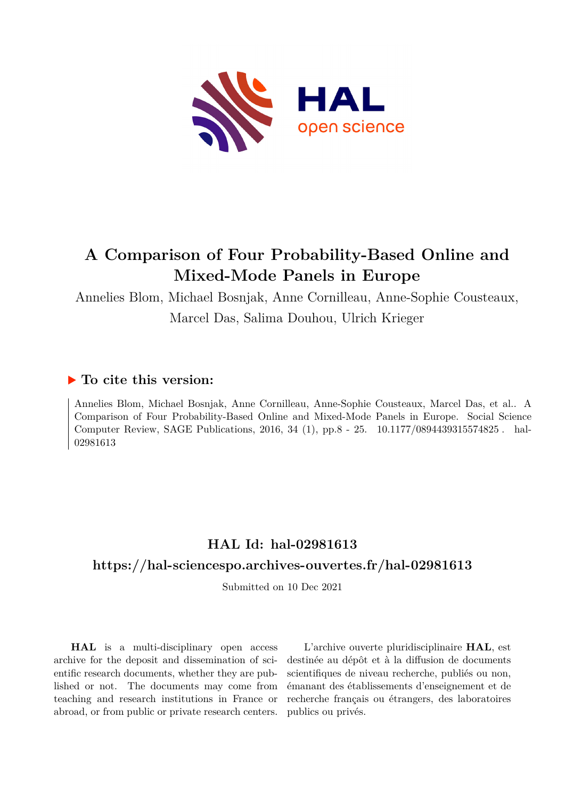

# **A Comparison of Four Probability-Based Online and Mixed-Mode Panels in Europe**

Annelies Blom, Michael Bosnjak, Anne Cornilleau, Anne-Sophie Cousteaux, Marcel Das, Salima Douhou, Ulrich Krieger

## **To cite this version:**

Annelies Blom, Michael Bosnjak, Anne Cornilleau, Anne-Sophie Cousteaux, Marcel Das, et al.. A Comparison of Four Probability-Based Online and Mixed-Mode Panels in Europe. Social Science Computer Review, SAGE Publications, 2016, 34 (1), pp.8 - 25. 10.1177/0894439315574825. hal-02981613

# **HAL Id: hal-02981613**

## **<https://hal-sciencespo.archives-ouvertes.fr/hal-02981613>**

Submitted on 10 Dec 2021

**HAL** is a multi-disciplinary open access archive for the deposit and dissemination of scientific research documents, whether they are published or not. The documents may come from teaching and research institutions in France or abroad, or from public or private research centers.

L'archive ouverte pluridisciplinaire **HAL**, est destinée au dépôt et à la diffusion de documents scientifiques de niveau recherche, publiés ou non, émanant des établissements d'enseignement et de recherche français ou étrangers, des laboratoires publics ou privés.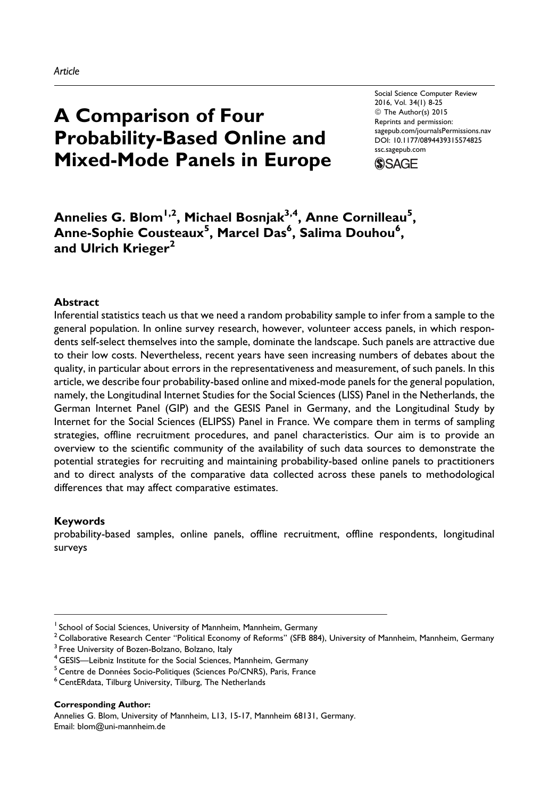# A Comparison of Four Probability-Based Online and Mixed-Mode Panels in Europe

Social Science Computer Review 2016, Vol. 34(1) 8-25 © The Author(s) 2015 Reprints and permission: [sagepub.com/journalsPermissions.nav](http://www.sagepub.com/journalsPermissions.nav) DOI: 10.1177/0894439315574825 [ssc.sagepub.com](http://ssc.sagepub.com)



Annelies G. Blom<sup>1,2</sup>, Michael Bosnjak<sup>3,4</sup>, Anne Cornilleau<sup>5</sup>, Anne-Sophie Cousteaux<sup>5</sup>, Marcel Das<sup>6</sup>, Salima Douhou<sup>6</sup>, and Ulrich Krieger<sup>2</sup>

### Abstract

Inferential statistics teach us that we need a random probability sample to infer from a sample to the general population. In online survey research, however, volunteer access panels, in which respondents self-select themselves into the sample, dominate the landscape. Such panels are attractive due to their low costs. Nevertheless, recent years have seen increasing numbers of debates about the quality, in particular about errors in the representativeness and measurement, of such panels. In this article, we describe four probability-based online and mixed-mode panels for the general population, namely, the Longitudinal Internet Studies for the Social Sciences (LISS) Panel in the Netherlands, the German Internet Panel (GIP) and the GESIS Panel in Germany, and the Longitudinal Study by Internet for the Social Sciences (ELIPSS) Panel in France. We compare them in terms of sampling strategies, offline recruitment procedures, and panel characteristics. Our aim is to provide an overview to the scientific community of the availability of such data sources to demonstrate the potential strategies for recruiting and maintaining probability-based online panels to practitioners and to direct analysts of the comparative data collected across these panels to methodological differences that may affect comparative estimates.

#### Keywords

probability-based samples, online panels, offline recruitment, offline respondents, longitudinal surveys

#### Corresponding Author:

<sup>&</sup>lt;sup>1</sup> School of Social Sciences, University of Mannheim, Mannheim, Germany

<sup>&</sup>lt;sup>2</sup> Collaborative Research Center "Political Economy of Reforms" (SFB 884), University of Mannheim, Mannheim, Germany <sup>3</sup> Free University of Bozen-Bolzano, Bolzano, Italy

<sup>4</sup> GESIS—Leibniz Institute for the Social Sciences, Mannheim, Germany

 $^5$ Centre de Données Socio-Politiques (Sciences Po/CNRS), Paris, France 6 CentERdata, Tilburg University, Tilburg, The Netherlands

Annelies G. Blom, University of Mannheim, L13, 15-17, Mannheim 68131, Germany. Email: blom@uni-mannheim.de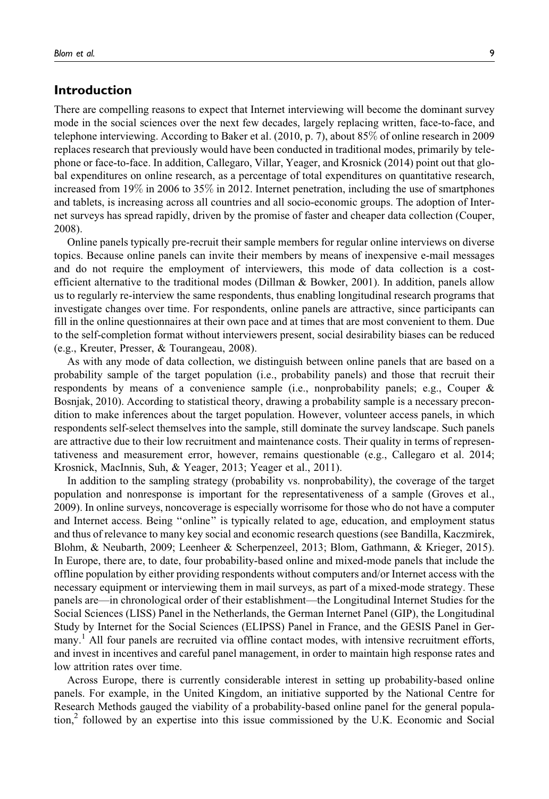## Introduction

There are compelling reasons to expect that Internet interviewing will become the dominant survey mode in the social sciences over the next few decades, largely replacing written, face-to-face, and telephone interviewing. According to Baker et al. (2010, p. 7), about 85% of online research in 2009 replaces research that previously would have been conducted in traditional modes, primarily by telephone or face-to-face. In addition, Callegaro, Villar, Yeager, and Krosnick (2014) point out that global expenditures on online research, as a percentage of total expenditures on quantitative research, increased from 19% in 2006 to 35% in 2012. Internet penetration, including the use of smartphones and tablets, is increasing across all countries and all socio-economic groups. The adoption of Internet surveys has spread rapidly, driven by the promise of faster and cheaper data collection (Couper, 2008).

Online panels typically pre-recruit their sample members for regular online interviews on diverse topics. Because online panels can invite their members by means of inexpensive e-mail messages and do not require the employment of interviewers, this mode of data collection is a costefficient alternative to the traditional modes (Dillman & Bowker, 2001). In addition, panels allow us to regularly re-interview the same respondents, thus enabling longitudinal research programs that investigate changes over time. For respondents, online panels are attractive, since participants can fill in the online questionnaires at their own pace and at times that are most convenient to them. Due to the self-completion format without interviewers present, social desirability biases can be reduced (e.g., Kreuter, Presser, & Tourangeau, 2008).

As with any mode of data collection, we distinguish between online panels that are based on a probability sample of the target population (i.e., probability panels) and those that recruit their respondents by means of a convenience sample (i.e., nonprobability panels; e.g., Couper & Bosnjak, 2010). According to statistical theory, drawing a probability sample is a necessary precondition to make inferences about the target population. However, volunteer access panels, in which respondents self-select themselves into the sample, still dominate the survey landscape. Such panels are attractive due to their low recruitment and maintenance costs. Their quality in terms of representativeness and measurement error, however, remains questionable (e.g., Callegaro et al. 2014; Krosnick, MacInnis, Suh, & Yeager, 2013; Yeager et al., 2011).

In addition to the sampling strategy (probability vs. nonprobability), the coverage of the target population and nonresponse is important for the representativeness of a sample (Groves et al., 2009). In online surveys, noncoverage is especially worrisome for those who do not have a computer and Internet access. Being ''online'' is typically related to age, education, and employment status and thus of relevance to many key social and economic research questions (see Bandilla, Kaczmirek, Blohm, & Neubarth, 2009; Leenheer & Scherpenzeel, 2013; Blom, Gathmann, & Krieger, 2015). In Europe, there are, to date, four probability-based online and mixed-mode panels that include the offline population by either providing respondents without computers and/or Internet access with the necessary equipment or interviewing them in mail surveys, as part of a mixed-mode strategy. These panels are—in chronological order of their establishment—the Longitudinal Internet Studies for the Social Sciences (LISS) Panel in the Netherlands, the German Internet Panel (GIP), the Longitudinal Study by Internet for the Social Sciences (ELIPSS) Panel in France, and the GESIS Panel in Germany.<sup>1</sup> All four panels are recruited via offline contact modes, with intensive recruitment efforts, and invest in incentives and careful panel management, in order to maintain high response rates and low attrition rates over time.

Across Europe, there is currently considerable interest in setting up probability-based online panels. For example, in the United Kingdom, an initiative supported by the National Centre for Research Methods gauged the viability of a probability-based online panel for the general population,2 followed by an expertise into this issue commissioned by the U.K. Economic and Social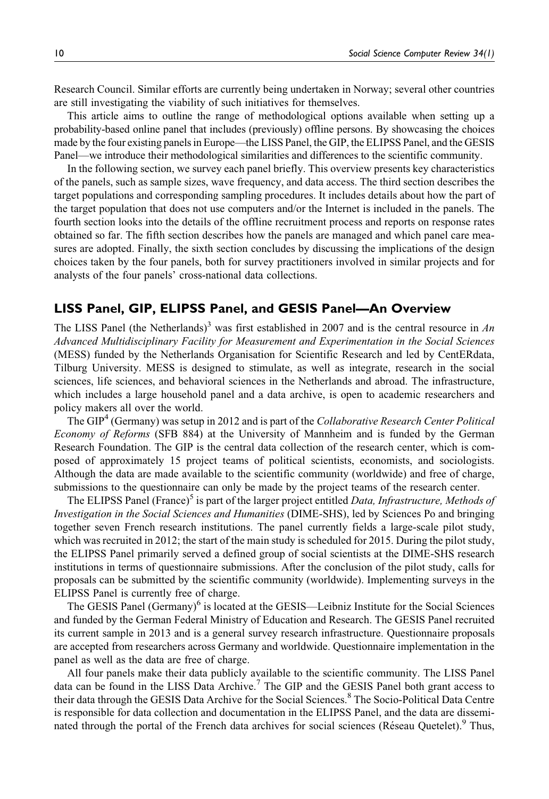Research Council. Similar efforts are currently being undertaken in Norway; several other countries are still investigating the viability of such initiatives for themselves.

This article aims to outline the range of methodological options available when setting up a probability-based online panel that includes (previously) offline persons. By showcasing the choices made by the four existing panels in Europe—the LISS Panel, the GIP, the ELIPSS Panel, and the GESIS Panel—we introduce their methodological similarities and differences to the scientific community.

In the following section, we survey each panel briefly. This overview presents key characteristics of the panels, such as sample sizes, wave frequency, and data access. The third section describes the target populations and corresponding sampling procedures. It includes details about how the part of the target population that does not use computers and/or the Internet is included in the panels. The fourth section looks into the details of the offline recruitment process and reports on response rates obtained so far. The fifth section describes how the panels are managed and which panel care measures are adopted. Finally, the sixth section concludes by discussing the implications of the design choices taken by the four panels, both for survey practitioners involved in similar projects and for analysts of the four panels' cross-national data collections.

## LISS Panel, GIP, ELIPSS Panel, and GESIS Panel—An Overview

The LISS Panel (the Netherlands)<sup>3</sup> was first established in 2007 and is the central resource in An Advanced Multidisciplinary Facility for Measurement and Experimentation in the Social Sciences (MESS) funded by the Netherlands Organisation for Scientific Research and led by CentERdata, Tilburg University. MESS is designed to stimulate, as well as integrate, research in the social sciences, life sciences, and behavioral sciences in the Netherlands and abroad. The infrastructure, which includes a large household panel and a data archive, is open to academic researchers and policy makers all over the world.

The GIP<sup>4</sup> (Germany) was setup in 2012 and is part of the *Collaborative Research Center Political* Economy of Reforms (SFB 884) at the University of Mannheim and is funded by the German Research Foundation. The GIP is the central data collection of the research center, which is composed of approximately 15 project teams of political scientists, economists, and sociologists. Although the data are made available to the scientific community (worldwide) and free of charge, submissions to the questionnaire can only be made by the project teams of the research center.

The ELIPSS Panel (France)<sup>5</sup> is part of the larger project entitled *Data, Infrastructure, Methods of* Investigation in the Social Sciences and Humanities (DIME-SHS), led by Sciences Po and bringing together seven French research institutions. The panel currently fields a large-scale pilot study, which was recruited in 2012; the start of the main study is scheduled for 2015. During the pilot study, the ELIPSS Panel primarily served a defined group of social scientists at the DIME-SHS research institutions in terms of questionnaire submissions. After the conclusion of the pilot study, calls for proposals can be submitted by the scientific community (worldwide). Implementing surveys in the ELIPSS Panel is currently free of charge.

The GESIS Panel (Germany)<sup>6</sup> is located at the GESIS—Leibniz Institute for the Social Sciences and funded by the German Federal Ministry of Education and Research. The GESIS Panel recruited its current sample in 2013 and is a general survey research infrastructure. Questionnaire proposals are accepted from researchers across Germany and worldwide. Questionnaire implementation in the panel as well as the data are free of charge.

All four panels make their data publicly available to the scientific community. The LISS Panel data can be found in the LISS Data Archive.<sup>7</sup> The GIP and the GESIS Panel both grant access to their data through the GESIS Data Archive for the Social Sciences.<sup>8</sup> The Socio-Political Data Centre is responsible for data collection and documentation in the ELIPSS Panel, and the data are disseminated through the portal of the French data archives for social sciences (Réseau Quetelet).<sup>9</sup> Thus,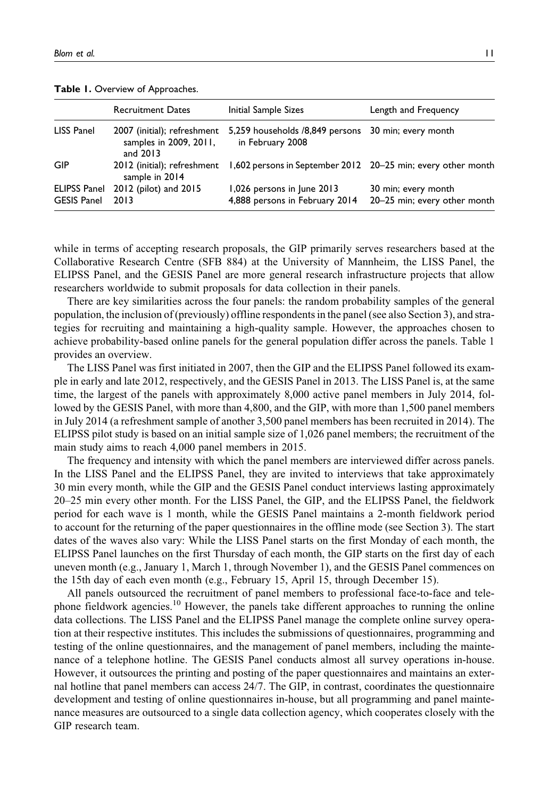|                                           | <b>Recruitment Dates</b>                                          | Initial Sample Sizes                                                    | Length and Frequency                                |
|-------------------------------------------|-------------------------------------------------------------------|-------------------------------------------------------------------------|-----------------------------------------------------|
| LISS Panel                                | 2007 (initial); refreshment<br>samples in 2009, 2011,<br>and 2013 | 5,259 households /8,849 persons 30 min; every month<br>in February 2008 |                                                     |
| GIP                                       | 2012 (initial); refreshment<br>sample in 2014                     | 1,602 persons in September 2012 20-25 min; every other month            |                                                     |
| <b>ELIPSS Panel</b><br><b>GESIS Panel</b> | 2012 (pilot) and 2015<br>2013                                     | 1,026 persons in June 2013<br>4,888 persons in February 2014            | 30 min; every month<br>20-25 min; every other month |

Table 1. Overview of Approaches.

while in terms of accepting research proposals, the GIP primarily serves researchers based at the Collaborative Research Centre (SFB 884) at the University of Mannheim, the LISS Panel, the ELIPSS Panel, and the GESIS Panel are more general research infrastructure projects that allow researchers worldwide to submit proposals for data collection in their panels.

There are key similarities across the four panels: the random probability samples of the general population, the inclusion of (previously) offline respondents in the panel (see also Section 3), and strategies for recruiting and maintaining a high-quality sample. However, the approaches chosen to achieve probability-based online panels for the general population differ across the panels. Table 1 provides an overview.

The LISS Panel was first initiated in 2007, then the GIP and the ELIPSS Panel followed its example in early and late 2012, respectively, and the GESIS Panel in 2013. The LISS Panel is, at the same time, the largest of the panels with approximately 8,000 active panel members in July 2014, followed by the GESIS Panel, with more than 4,800, and the GIP, with more than 1,500 panel members in July 2014 (a refreshment sample of another 3,500 panel members has been recruited in 2014). The ELIPSS pilot study is based on an initial sample size of 1,026 panel members; the recruitment of the main study aims to reach 4,000 panel members in 2015.

The frequency and intensity with which the panel members are interviewed differ across panels. In the LISS Panel and the ELIPSS Panel, they are invited to interviews that take approximately 30 min every month, while the GIP and the GESIS Panel conduct interviews lasting approximately 20–25 min every other month. For the LISS Panel, the GIP, and the ELIPSS Panel, the fieldwork period for each wave is 1 month, while the GESIS Panel maintains a 2-month fieldwork period to account for the returning of the paper questionnaires in the offline mode (see Section 3). The start dates of the waves also vary: While the LISS Panel starts on the first Monday of each month, the ELIPSS Panel launches on the first Thursday of each month, the GIP starts on the first day of each uneven month (e.g., January 1, March 1, through November 1), and the GESIS Panel commences on the 15th day of each even month (e.g., February 15, April 15, through December 15).

All panels outsourced the recruitment of panel members to professional face-to-face and telephone fieldwork agencies.<sup>10</sup> However, the panels take different approaches to running the online data collections. The LISS Panel and the ELIPSS Panel manage the complete online survey operation at their respective institutes. This includes the submissions of questionnaires, programming and testing of the online questionnaires, and the management of panel members, including the maintenance of a telephone hotline. The GESIS Panel conducts almost all survey operations in-house. However, it outsources the printing and posting of the paper questionnaires and maintains an external hotline that panel members can access 24/7. The GIP, in contrast, coordinates the questionnaire development and testing of online questionnaires in-house, but all programming and panel maintenance measures are outsourced to a single data collection agency, which cooperates closely with the GIP research team.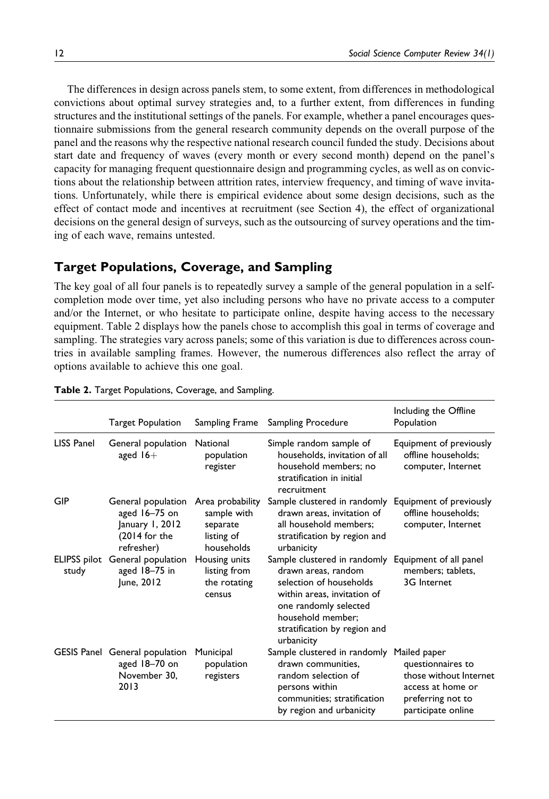The differences in design across panels stem, to some extent, from differences in methodological convictions about optimal survey strategies and, to a further extent, from differences in funding structures and the institutional settings of the panels. For example, whether a panel encourages questionnaire submissions from the general research community depends on the overall purpose of the panel and the reasons why the respective national research council funded the study. Decisions about start date and frequency of waves (every month or every second month) depend on the panel's capacity for managing frequent questionnaire design and programming cycles, as well as on convictions about the relationship between attrition rates, interview frequency, and timing of wave invitations. Unfortunately, while there is empirical evidence about some design decisions, such as the effect of contact mode and incentives at recruitment (see Section 4), the effect of organizational decisions on the general design of surveys, such as the outsourcing of survey operations and the timing of each wave, remains untested.

## Target Populations, Coverage, and Sampling

The key goal of all four panels is to repeatedly survey a sample of the general population in a selfcompletion mode over time, yet also including persons who have no private access to a computer and/or the Internet, or who hesitate to participate online, despite having access to the necessary equipment. Table 2 displays how the panels chose to accomplish this goal in terms of coverage and sampling. The strategies vary across panels; some of this variation is due to differences across countries in available sampling frames. However, the numerous differences also reflect the array of options available to achieve this one goal.

|                       | <b>Target Population</b>                                                                | Sampling Frame                                                          | Sampling Procedure                                                                                                                                                                                        | Including the Offline<br>Population                                                                                         |
|-----------------------|-----------------------------------------------------------------------------------------|-------------------------------------------------------------------------|-----------------------------------------------------------------------------------------------------------------------------------------------------------------------------------------------------------|-----------------------------------------------------------------------------------------------------------------------------|
| <b>LISS Panel</b>     | General population<br>aged $16+$                                                        | National<br>population<br>register                                      | Simple random sample of<br>households, invitation of all<br>household members; no<br>stratification in initial<br>recruitment                                                                             | Equipment of previously<br>offline households;<br>computer, Internet                                                        |
| GIP                   | General population<br>aged 16-75 on<br>January 1, 2012<br>$(2014$ for the<br>refresher) | Area probability<br>sample with<br>separate<br>listing of<br>households | Sample clustered in randomly<br>drawn areas, invitation of<br>all household members:<br>stratification by region and<br>urbanicity                                                                        | Equipment of previously<br>offline households:<br>computer, Internet                                                        |
| ELIPSS pilot<br>study | General population<br>aged 18-75 in<br>June, 2012                                       | Housing units<br>listing from<br>the rotating<br>census                 | Sample clustered in randomly<br>drawn areas, random<br>selection of households<br>within areas, invitation of<br>one randomly selected<br>household member:<br>stratification by region and<br>urbanicity | Equipment of all panel<br>members; tablets,<br>3G Internet                                                                  |
|                       | <b>GESIS Panel</b> General population<br>aged 18-70 on<br>November 30,<br>2013          | Municipal<br>population<br>registers                                    | Sample clustered in randomly<br>drawn communities.<br>random selection of<br>persons within<br>communities: stratification<br>by region and urbanicity                                                    | Mailed paper<br>questionnaires to<br>those without Internet<br>access at home or<br>preferring not to<br>participate online |

#### Table 2. Target Populations, Coverage, and Sampling.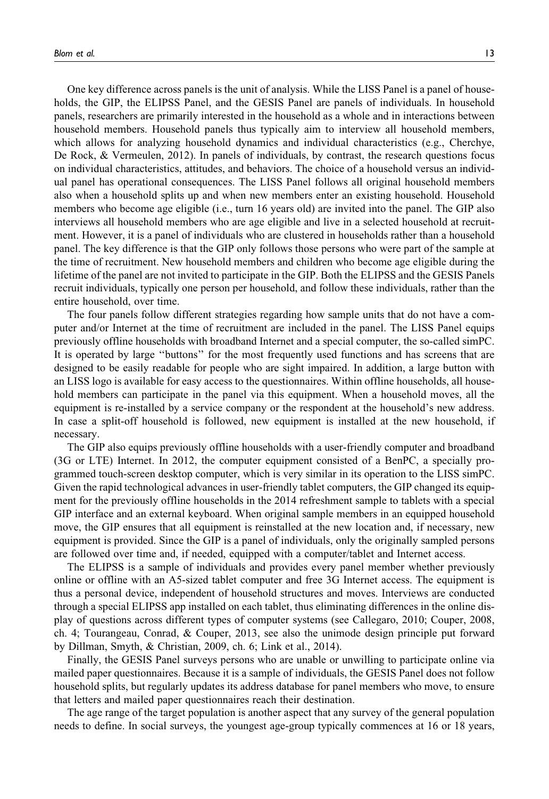One key difference across panels is the unit of analysis. While the LISS Panel is a panel of households, the GIP, the ELIPSS Panel, and the GESIS Panel are panels of individuals. In household panels, researchers are primarily interested in the household as a whole and in interactions between household members. Household panels thus typically aim to interview all household members, which allows for analyzing household dynamics and individual characteristics (e.g., Cherchye, De Rock, & Vermeulen, 2012). In panels of individuals, by contrast, the research questions focus on individual characteristics, attitudes, and behaviors. The choice of a household versus an individual panel has operational consequences. The LISS Panel follows all original household members also when a household splits up and when new members enter an existing household. Household members who become age eligible (i.e., turn 16 years old) are invited into the panel. The GIP also interviews all household members who are age eligible and live in a selected household at recruitment. However, it is a panel of individuals who are clustered in households rather than a household panel. The key difference is that the GIP only follows those persons who were part of the sample at the time of recruitment. New household members and children who become age eligible during the lifetime of the panel are not invited to participate in the GIP. Both the ELIPSS and the GESIS Panels recruit individuals, typically one person per household, and follow these individuals, rather than the entire household, over time.

The four panels follow different strategies regarding how sample units that do not have a computer and/or Internet at the time of recruitment are included in the panel. The LISS Panel equips previously offline households with broadband Internet and a special computer, the so-called simPC. It is operated by large ''buttons'' for the most frequently used functions and has screens that are designed to be easily readable for people who are sight impaired. In addition, a large button with an LISS logo is available for easy access to the questionnaires. Within offline households, all household members can participate in the panel via this equipment. When a household moves, all the equipment is re-installed by a service company or the respondent at the household's new address. In case a split-off household is followed, new equipment is installed at the new household, if necessary.

The GIP also equips previously offline households with a user-friendly computer and broadband (3G or LTE) Internet. In 2012, the computer equipment consisted of a BenPC, a specially programmed touch-screen desktop computer, which is very similar in its operation to the LISS simPC. Given the rapid technological advances in user-friendly tablet computers, the GIP changed its equipment for the previously offline households in the 2014 refreshment sample to tablets with a special GIP interface and an external keyboard. When original sample members in an equipped household move, the GIP ensures that all equipment is reinstalled at the new location and, if necessary, new equipment is provided. Since the GIP is a panel of individuals, only the originally sampled persons are followed over time and, if needed, equipped with a computer/tablet and Internet access.

The ELIPSS is a sample of individuals and provides every panel member whether previously online or offline with an A5-sized tablet computer and free 3G Internet access. The equipment is thus a personal device, independent of household structures and moves. Interviews are conducted through a special ELIPSS app installed on each tablet, thus eliminating differences in the online display of questions across different types of computer systems (see Callegaro, 2010; Couper, 2008, ch. 4; Tourangeau, Conrad, & Couper, 2013, see also the unimode design principle put forward by Dillman, Smyth, & Christian, 2009, ch. 6; Link et al., 2014).

Finally, the GESIS Panel surveys persons who are unable or unwilling to participate online via mailed paper questionnaires. Because it is a sample of individuals, the GESIS Panel does not follow household splits, but regularly updates its address database for panel members who move, to ensure that letters and mailed paper questionnaires reach their destination.

The age range of the target population is another aspect that any survey of the general population needs to define. In social surveys, the youngest age-group typically commences at 16 or 18 years,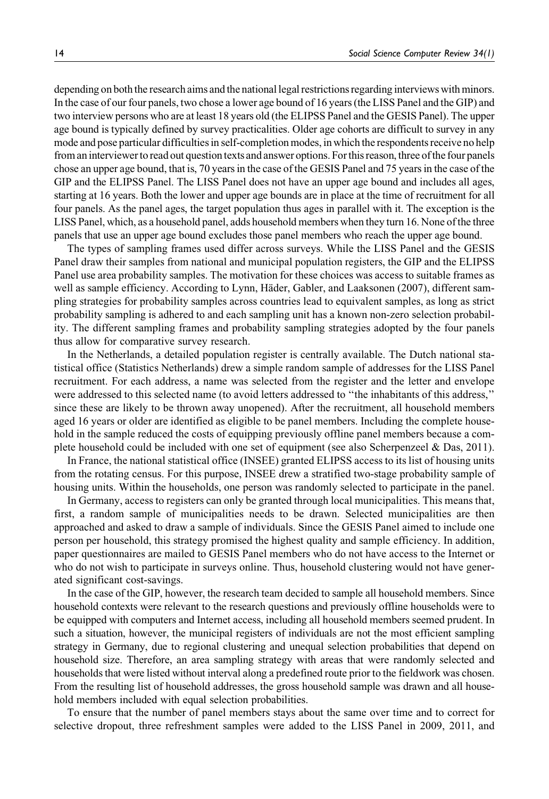depending on both the research aims and the national legal restrictions regarding interviews with minors. In the case of our four panels, two chose a lower age bound of 16 years (the LISS Panel and the GIP) and two interview persons who are at least 18 years old (the ELIPSS Panel and the GESIS Panel). The upper age bound is typically defined by survey practicalities. Older age cohorts are difficult to survey in any mode and pose particular difficulties in self-completion modes, in which the respondents receive no help from aninterviewerto read out question texts and answer options. Forthis reason, three ofthe four panels chose an upper age bound, that is, 70 years in the case of the GESIS Panel and 75 years in the case of the GIP and the ELIPSS Panel. The LISS Panel does not have an upper age bound and includes all ages, starting at 16 years. Both the lower and upper age bounds are in place at the time of recruitment for all four panels. As the panel ages, the target population thus ages in parallel with it. The exception is the LISS Panel, which, as a household panel, adds household members when they turn 16. None of the three panels that use an upper age bound excludes those panel members who reach the upper age bound.

The types of sampling frames used differ across surveys. While the LISS Panel and the GESIS Panel draw their samples from national and municipal population registers, the GIP and the ELIPSS Panel use area probability samples. The motivation for these choices was access to suitable frames as well as sample efficiency. According to Lynn, Häder, Gabler, and Laaksonen (2007), different sampling strategies for probability samples across countries lead to equivalent samples, as long as strict probability sampling is adhered to and each sampling unit has a known non-zero selection probability. The different sampling frames and probability sampling strategies adopted by the four panels thus allow for comparative survey research.

In the Netherlands, a detailed population register is centrally available. The Dutch national statistical office (Statistics Netherlands) drew a simple random sample of addresses for the LISS Panel recruitment. For each address, a name was selected from the register and the letter and envelope were addressed to this selected name (to avoid letters addressed to ''the inhabitants of this address,'' since these are likely to be thrown away unopened). After the recruitment, all household members aged 16 years or older are identified as eligible to be panel members. Including the complete household in the sample reduced the costs of equipping previously offline panel members because a complete household could be included with one set of equipment (see also Scherpenzeel & Das, 2011).

In France, the national statistical office (INSEE) granted ELIPSS access to its list of housing units from the rotating census. For this purpose, INSEE drew a stratified two-stage probability sample of housing units. Within the households, one person was randomly selected to participate in the panel.

In Germany, access to registers can only be granted through local municipalities. This means that, first, a random sample of municipalities needs to be drawn. Selected municipalities are then approached and asked to draw a sample of individuals. Since the GESIS Panel aimed to include one person per household, this strategy promised the highest quality and sample efficiency. In addition, paper questionnaires are mailed to GESIS Panel members who do not have access to the Internet or who do not wish to participate in surveys online. Thus, household clustering would not have generated significant cost-savings.

In the case of the GIP, however, the research team decided to sample all household members. Since household contexts were relevant to the research questions and previously offline households were to be equipped with computers and Internet access, including all household members seemed prudent. In such a situation, however, the municipal registers of individuals are not the most efficient sampling strategy in Germany, due to regional clustering and unequal selection probabilities that depend on household size. Therefore, an area sampling strategy with areas that were randomly selected and households that were listed without interval along a predefined route prior to the fieldwork was chosen. From the resulting list of household addresses, the gross household sample was drawn and all household members included with equal selection probabilities.

To ensure that the number of panel members stays about the same over time and to correct for selective dropout, three refreshment samples were added to the LISS Panel in 2009, 2011, and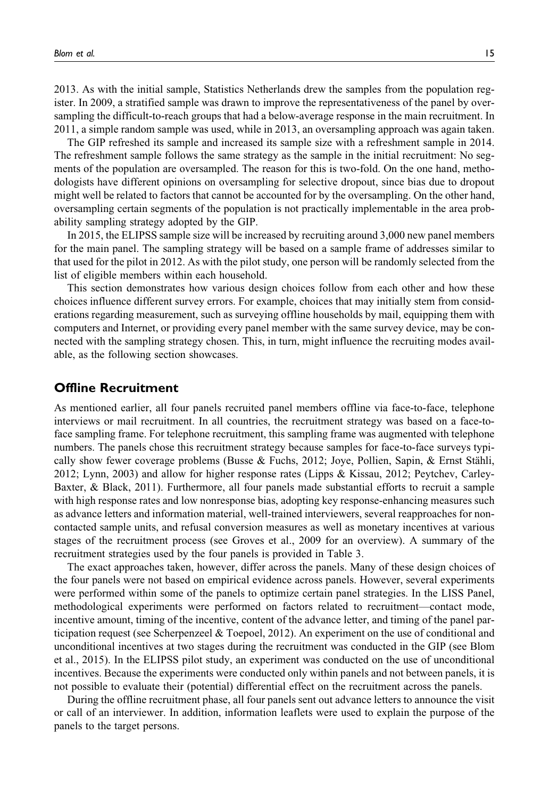2013. As with the initial sample, Statistics Netherlands drew the samples from the population register. In 2009, a stratified sample was drawn to improve the representativeness of the panel by oversampling the difficult-to-reach groups that had a below-average response in the main recruitment. In 2011, a simple random sample was used, while in 2013, an oversampling approach was again taken.

The GIP refreshed its sample and increased its sample size with a refreshment sample in 2014. The refreshment sample follows the same strategy as the sample in the initial recruitment: No segments of the population are oversampled. The reason for this is two-fold. On the one hand, methodologists have different opinions on oversampling for selective dropout, since bias due to dropout might well be related to factors that cannot be accounted for by the oversampling. On the other hand, oversampling certain segments of the population is not practically implementable in the area probability sampling strategy adopted by the GIP.

In 2015, the ELIPSS sample size will be increased by recruiting around 3,000 new panel members for the main panel. The sampling strategy will be based on a sample frame of addresses similar to that used for the pilot in 2012. As with the pilot study, one person will be randomly selected from the list of eligible members within each household.

This section demonstrates how various design choices follow from each other and how these choices influence different survey errors. For example, choices that may initially stem from considerations regarding measurement, such as surveying offline households by mail, equipping them with computers and Internet, or providing every panel member with the same survey device, may be connected with the sampling strategy chosen. This, in turn, might influence the recruiting modes available, as the following section showcases.

## Offline Recruitment

As mentioned earlier, all four panels recruited panel members offline via face-to-face, telephone interviews or mail recruitment. In all countries, the recruitment strategy was based on a face-toface sampling frame. For telephone recruitment, this sampling frame was augmented with telephone numbers. The panels chose this recruitment strategy because samples for face-to-face surveys typically show fewer coverage problems (Busse & Fuchs, 2012; Joye, Pollien, Sapin, & Ernst Stähli, 2012; Lynn, 2003) and allow for higher response rates (Lipps & Kissau, 2012; Peytchev, Carley-Baxter, & Black, 2011). Furthermore, all four panels made substantial efforts to recruit a sample with high response rates and low nonresponse bias, adopting key response-enhancing measures such as advance letters and information material, well-trained interviewers, several reapproaches for noncontacted sample units, and refusal conversion measures as well as monetary incentives at various stages of the recruitment process (see Groves et al., 2009 for an overview). A summary of the recruitment strategies used by the four panels is provided in Table 3.

The exact approaches taken, however, differ across the panels. Many of these design choices of the four panels were not based on empirical evidence across panels. However, several experiments were performed within some of the panels to optimize certain panel strategies. In the LISS Panel, methodological experiments were performed on factors related to recruitment—contact mode, incentive amount, timing of the incentive, content of the advance letter, and timing of the panel participation request (see Scherpenzeel & Toepoel, 2012). An experiment on the use of conditional and unconditional incentives at two stages during the recruitment was conducted in the GIP (see Blom et al., 2015). In the ELIPSS pilot study, an experiment was conducted on the use of unconditional incentives. Because the experiments were conducted only within panels and not between panels, it is not possible to evaluate their (potential) differential effect on the recruitment across the panels.

During the offline recruitment phase, all four panels sent out advance letters to announce the visit or call of an interviewer. In addition, information leaflets were used to explain the purpose of the panels to the target persons.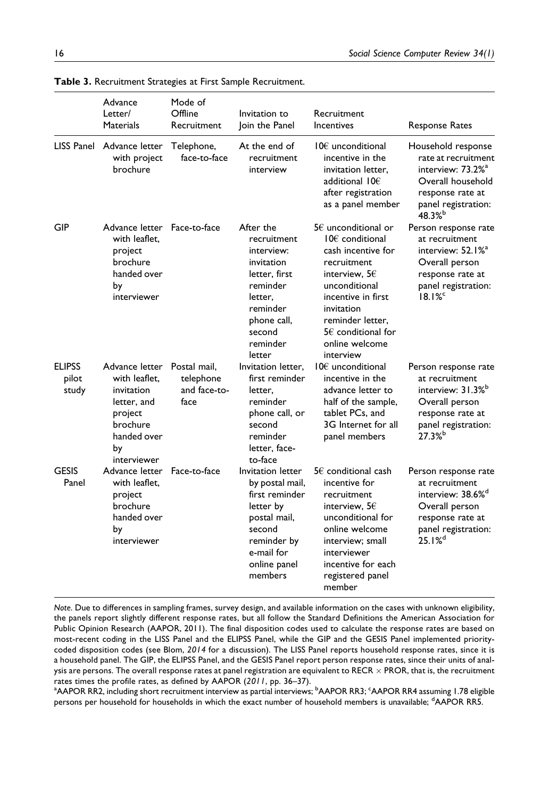|                                 | Advance<br>Letter/<br><b>Materials</b>                                                                                               | Mode of<br>Offline<br>Recruitment | Invitation to<br>Join the Panel                                                                                                                         | Recruitment<br>Incentives                                                                                                                                                                                                                                 | <b>Response Rates</b>                                                                                                                                  |
|---------------------------------|--------------------------------------------------------------------------------------------------------------------------------------|-----------------------------------|---------------------------------------------------------------------------------------------------------------------------------------------------------|-----------------------------------------------------------------------------------------------------------------------------------------------------------------------------------------------------------------------------------------------------------|--------------------------------------------------------------------------------------------------------------------------------------------------------|
|                                 | LISS Panel Advance letter<br>with project<br>brochure                                                                                | Telephone,<br>face-to-face        | At the end of<br>recruitment<br>interview                                                                                                               | $10\epsilon unconditionalincentive in theinvitation letter.additional 10\epsilonafter registrationas a panel member$                                                                                                                                      | Household response<br>rate at recruitment<br>interview: 73.2% <sup>a</sup><br>Overall household<br>response rate at<br>panel registration:<br>48.3%b   |
| GIP                             | Advance letter Face-to-face<br>with leaflet.<br>project<br>brochure<br>handed over<br>by<br>interviewer                              |                                   | After the<br>recruitment<br>interview:<br>invitation<br>letter, first<br>reminder<br>letter,<br>reminder<br>phone call,<br>second<br>reminder<br>letter | 5 $\epsilon$ unconditional or<br>$102$ conditional<br>cash incentive for<br>recruitment<br>interview, $5\epsilon$<br>unconditional<br>incentive in first<br>invitation<br>reminder letter,<br>5 $\epsilon$ conditional for<br>online welcome<br>interview | Person response rate<br>at recruitment<br>interview: $52.1\%$ <sup>a</sup><br>Overall person<br>response rate at<br>panel registration:<br>$18.1%^{c}$ |
| <b>ELIPSS</b><br>pilot<br>study | Advance letter Postal mail.<br>with leaflet.<br>invitation<br>letter, and<br>project<br>brochure<br>handed over<br>bу<br>interviewer | telephone<br>and face-to-<br>face | Invitation letter.<br>first reminder<br>letter.<br>reminder<br>phone call, or<br>second<br>reminder<br>letter, face-<br>to-face                         | $10$ $\epsilon$ unconditional<br>incentive in the<br>advance letter to<br>half of the sample,<br>tablet PCs, and<br>3G Internet for all<br>panel members                                                                                                  | Person response rate<br>at recruitment<br>interview: 31.3% <sup>b</sup><br>Overall person<br>response rate at<br>panel registration:<br>27.3%          |
| <b>GESIS</b><br>Panel           | Advance letter<br>with leaflet,<br>project<br>brochure<br>handed over<br>by<br>interviewer                                           | Face-to-face                      | Invitation letter<br>by postal mail,<br>first reminder<br>letter by<br>postal mail,<br>second<br>reminder by<br>e-mail for<br>online panel<br>members   | 5 $\epsilon$ conditional cash<br>incentive for<br>recruitment<br>interview, $56$<br>unconditional for<br>online welcome<br>interview; small<br>interviewer<br>incentive for each<br>registered panel<br>member                                            | Person response rate<br>at recruitment<br>interview: 38.6% <sup>d</sup><br>Overall person<br>response rate at<br>panel registration:<br>$25.1%^{d}$    |

Table 3. Recruitment Strategies at First Sample Recruitment.

Note. Due to differences in sampling frames, survey design, and available information on the cases with unknown eligibility, the panels report slightly different response rates, but all follow the Standard Definitions the American Association for Public Opinion Research (AAPOR, 2011). The final disposition codes used to calculate the response rates are based on most-recent coding in the LISS Panel and the ELIPSS Panel, while the GIP and the GESIS Panel implemented prioritycoded disposition codes (see Blom, 2014 for a discussion). The LISS Panel reports household response rates, since it is a household panel. The GIP, the ELIPSS Panel, and the GESIS Panel report person response rates, since their units of analysis are persons. The overall response rates at panel registration are equivalent to RECR  $\times$  PROR, that is, the recruitment rates times the profile rates, as defined by AAPOR (2011, pp. 36-37).

AAPOR RR2, including short recruitment interview as partial interviews; <sup>b</sup>AAPOR RR3; <sup>c</sup>AAPOR RR4 assuming 1.78 eligible persons per household for households in which the exact number of household members is unavailable; <sup>d</sup>AAPOR RR5.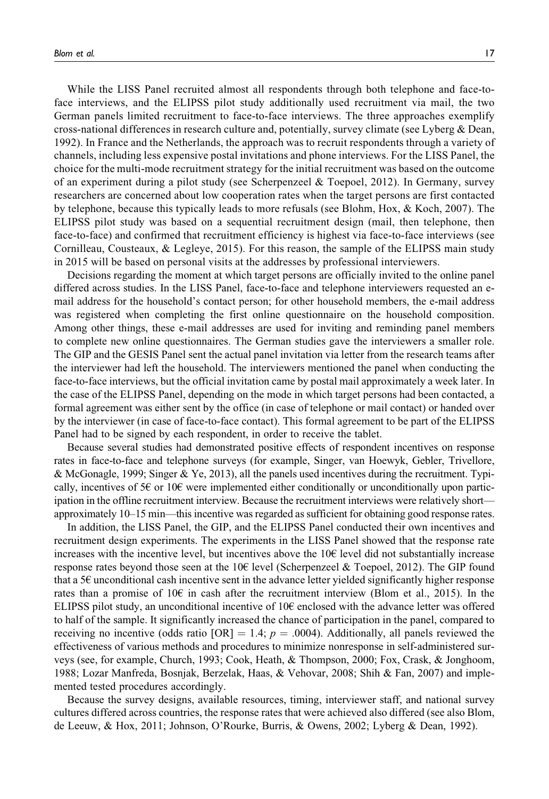While the LISS Panel recruited almost all respondents through both telephone and face-toface interviews, and the ELIPSS pilot study additionally used recruitment via mail, the two German panels limited recruitment to face-to-face interviews. The three approaches exemplify cross-national differences in research culture and, potentially, survey climate (see Lyberg & Dean, 1992). In France and the Netherlands, the approach was to recruit respondents through a variety of channels, including less expensive postal invitations and phone interviews. For the LISS Panel, the choice for the multi-mode recruitment strategy for the initial recruitment was based on the outcome of an experiment during a pilot study (see Scherpenzeel & Toepoel, 2012). In Germany, survey researchers are concerned about low cooperation rates when the target persons are first contacted by telephone, because this typically leads to more refusals (see Blohm, Hox, & Koch, 2007). The ELIPSS pilot study was based on a sequential recruitment design (mail, then telephone, then face-to-face) and confirmed that recruitment efficiency is highest via face-to-face interviews (see Cornilleau, Cousteaux, & Legleye, 2015). For this reason, the sample of the ELIPSS main study in 2015 will be based on personal visits at the addresses by professional interviewers.

Decisions regarding the moment at which target persons are officially invited to the online panel differed across studies. In the LISS Panel, face-to-face and telephone interviewers requested an email address for the household's contact person; for other household members, the e-mail address was registered when completing the first online questionnaire on the household composition. Among other things, these e-mail addresses are used for inviting and reminding panel members to complete new online questionnaires. The German studies gave the interviewers a smaller role. The GIP and the GESIS Panel sent the actual panel invitation via letter from the research teams after the interviewer had left the household. The interviewers mentioned the panel when conducting the face-to-face interviews, but the official invitation came by postal mail approximately a week later. In the case of the ELIPSS Panel, depending on the mode in which target persons had been contacted, a formal agreement was either sent by the office (in case of telephone or mail contact) or handed over by the interviewer (in case of face-to-face contact). This formal agreement to be part of the ELIPSS Panel had to be signed by each respondent, in order to receive the tablet.

Because several studies had demonstrated positive effects of respondent incentives on response rates in face-to-face and telephone surveys (for example, Singer, van Hoewyk, Gebler, Trivellore, & McGonagle, 1999; Singer & Ye, 2013), all the panels used incentives during the recruitment. Typically, incentives of 5 $\epsilon$  or 10 $\epsilon$  were implemented either conditionally or unconditionally upon participation in the offline recruitment interview. Because the recruitment interviews were relatively short approximately 10–15 min—this incentive was regarded as sufficient for obtaining good response rates.

In addition, the LISS Panel, the GIP, and the ELIPSS Panel conducted their own incentives and recruitment design experiments. The experiments in the LISS Panel showed that the response rate increases with the incentive level, but incentives above the 10€ level did not substantially increase response rates beyond those seen at the 10€ level (Scherpenzeel & Toepoel, 2012). The GIP found that a 5 $\epsilon$  unconditional cash incentive sent in the advance letter yielded significantly higher response rates than a promise of  $10\epsilon$  in cash after the recruitment interview (Blom et al., 2015). In the ELIPSS pilot study, an unconditional incentive of 10€ enclosed with the advance letter was offered to half of the sample. It significantly increased the chance of participation in the panel, compared to receiving no incentive (odds ratio  $[OR] = 1.4$ ;  $p = .0004$ ). Additionally, all panels reviewed the effectiveness of various methods and procedures to minimize nonresponse in self-administered surveys (see, for example, Church, 1993; Cook, Heath, & Thompson, 2000; Fox, Crask, & Jonghoom, 1988; Lozar Manfreda, Bosnjak, Berzelak, Haas, & Vehovar, 2008; Shih & Fan, 2007) and implemented tested procedures accordingly.

Because the survey designs, available resources, timing, interviewer staff, and national survey cultures differed across countries, the response rates that were achieved also differed (see also Blom, de Leeuw, & Hox, 2011; Johnson, O'Rourke, Burris, & Owens, 2002; Lyberg & Dean, 1992).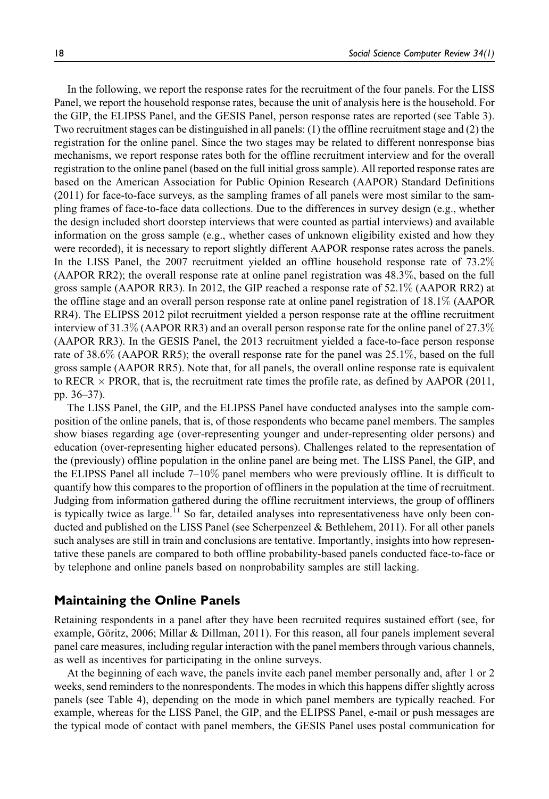In the following, we report the response rates for the recruitment of the four panels. For the LISS Panel, we report the household response rates, because the unit of analysis here is the household. For the GIP, the ELIPSS Panel, and the GESIS Panel, person response rates are reported (see Table 3). Two recruitment stages can be distinguished in all panels: (1) the offline recruitment stage and (2) the registration for the online panel. Since the two stages may be related to different nonresponse bias mechanisms, we report response rates both for the offline recruitment interview and for the overall registration to the online panel (based on the full initial gross sample). All reported response rates are based on the American Association for Public Opinion Research (AAPOR) Standard Definitions (2011) for face-to-face surveys, as the sampling frames of all panels were most similar to the sampling frames of face-to-face data collections. Due to the differences in survey design (e.g., whether the design included short doorstep interviews that were counted as partial interviews) and available information on the gross sample (e.g., whether cases of unknown eligibility existed and how they were recorded), it is necessary to report slightly different AAPOR response rates across the panels. In the LISS Panel, the 2007 recruitment yielded an offline household response rate of 73.2% (AAPOR RR2); the overall response rate at online panel registration was 48.3%, based on the full gross sample (AAPOR RR3). In 2012, the GIP reached a response rate of 52.1% (AAPOR RR2) at the offline stage and an overall person response rate at online panel registration of 18.1% (AAPOR RR4). The ELIPSS 2012 pilot recruitment yielded a person response rate at the offline recruitment interview of 31.3% (AAPOR RR3) and an overall person response rate for the online panel of 27.3% (AAPOR RR3). In the GESIS Panel, the 2013 recruitment yielded a face-to-face person response rate of 38.6% (AAPOR RR5); the overall response rate for the panel was 25.1%, based on the full gross sample (AAPOR RR5). Note that, for all panels, the overall online response rate is equivalent to RECR  $\times$  PROR, that is, the recruitment rate times the profile rate, as defined by AAPOR (2011, pp. 36–37).

The LISS Panel, the GIP, and the ELIPSS Panel have conducted analyses into the sample composition of the online panels, that is, of those respondents who became panel members. The samples show biases regarding age (over-representing younger and under-representing older persons) and education (over-representing higher educated persons). Challenges related to the representation of the (previously) offline population in the online panel are being met. The LISS Panel, the GIP, and the ELIPSS Panel all include 7–10% panel members who were previously offline. It is difficult to quantify how this compares to the proportion of offliners in the population at the time of recruitment. Judging from information gathered during the offline recruitment interviews, the group of offliners is typically twice as large.<sup>11</sup> So far, detailed analyses into representativeness have only been conducted and published on the LISS Panel (see Scherpenzeel & Bethlehem, 2011). For all other panels such analyses are still in train and conclusions are tentative. Importantly, insights into how representative these panels are compared to both offline probability-based panels conducted face-to-face or by telephone and online panels based on nonprobability samples are still lacking.

## Maintaining the Online Panels

Retaining respondents in a panel after they have been recruited requires sustained effort (see, for example, Göritz, 2006; Millar & Dillman, 2011). For this reason, all four panels implement several panel care measures, including regular interaction with the panel members through various channels, as well as incentives for participating in the online surveys.

At the beginning of each wave, the panels invite each panel member personally and, after 1 or 2 weeks, send reminders to the nonrespondents. The modes in which this happens differ slightly across panels (see Table 4), depending on the mode in which panel members are typically reached. For example, whereas for the LISS Panel, the GIP, and the ELIPSS Panel, e-mail or push messages are the typical mode of contact with panel members, the GESIS Panel uses postal communication for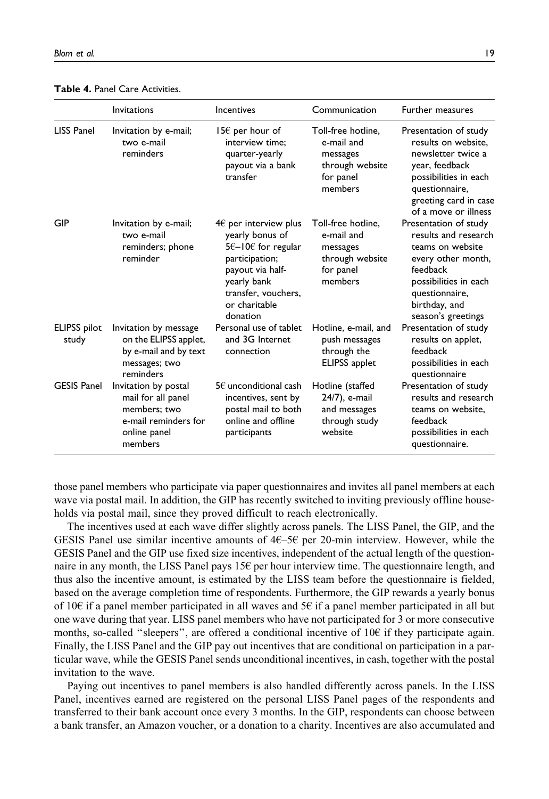|                              | Invitations                                                                                                   | Incentives                                                                                                                                                                                           | Communication                                                                           | Further measures                                                                                                                                                                      |
|------------------------------|---------------------------------------------------------------------------------------------------------------|------------------------------------------------------------------------------------------------------------------------------------------------------------------------------------------------------|-----------------------------------------------------------------------------------------|---------------------------------------------------------------------------------------------------------------------------------------------------------------------------------------|
| <b>LISS Panel</b>            | Invitation by e-mail;<br>two e-mail<br>reminders                                                              | 15 $\epsilon$ per hour of<br>interview time:<br>quarter-yearly<br>payout via a bank<br>transfer                                                                                                      | Toll-free hotline,<br>e-mail and<br>messages<br>through website<br>for panel<br>members | Presentation of study<br>results on website,<br>newsletter twice a<br>year, feedback<br>possibilities in each<br>questionnaire,<br>greeting card in case<br>of a move or illness      |
| GIP                          | Invitation by e-mail;<br>two e-mail<br>reminders; phone<br>reminder                                           | $4\epsilon$ per interview plus<br>yearly bonus of<br>$5\epsilon$ -10 $\epsilon$ for regular<br>participation;<br>payout via half-<br>yearly bank<br>transfer, vouchers,<br>or charitable<br>donation | Toll-free hotline.<br>e-mail and<br>messages<br>through website<br>for panel<br>members | Presentation of study<br>results and research<br>teams on website<br>every other month,<br>feedback<br>possibilities in each<br>questionnaire,<br>birthday, and<br>season's greetings |
| <b>ELIPSS</b> pilot<br>study | Invitation by message<br>on the ELIPSS applet,<br>by e-mail and by text<br>messages; two<br>reminders         | Personal use of tablet<br>and 3G Internet<br>connection                                                                                                                                              | Hotline, e-mail, and<br>push messages<br>through the<br><b>ELIPSS</b> applet            | Presentation of study<br>results on applet,<br>feedback<br>possibilities in each<br>questionnaire                                                                                     |
| <b>GESIS Panel</b>           | Invitation by postal<br>mail for all panel<br>members: two<br>e-mail reminders for<br>online panel<br>members | 5 $\epsilon$ unconditional cash<br>incentives, sent by<br>postal mail to both<br>online and offline<br>participants                                                                                  | Hotline (staffed<br>24/7), e-mail<br>and messages<br>through study<br>website           | Presentation of study<br>results and research<br>teams on website,<br>feedback<br>possibilities in each<br>questionnaire.                                                             |

those panel members who participate via paper questionnaires and invites all panel members at each wave via postal mail. In addition, the GIP has recently switched to inviting previously offline households via postal mail, since they proved difficult to reach electronically.

The incentives used at each wave differ slightly across panels. The LISS Panel, the GIP, and the GESIS Panel use similar incentive amounts of  $4E-5E$  per 20-min interview. However, while the GESIS Panel and the GIP use fixed size incentives, independent of the actual length of the questionnaire in any month, the LISS Panel pays 15€ per hour interview time. The questionnaire length, and thus also the incentive amount, is estimated by the LISS team before the questionnaire is fielded, based on the average completion time of respondents. Furthermore, the GIP rewards a yearly bonus of 10€ if a panel member participated in all waves and 5€ if a panel member participated in all but one wave during that year. LISS panel members who have not participated for 3 or more consecutive months, so-called "sleepers", are offered a conditional incentive of 10€ if they participate again. Finally, the LISS Panel and the GIP pay out incentives that are conditional on participation in a particular wave, while the GESIS Panel sends unconditional incentives, in cash, together with the postal invitation to the wave.

Paying out incentives to panel members is also handled differently across panels. In the LISS Panel, incentives earned are registered on the personal LISS Panel pages of the respondents and transferred to their bank account once every 3 months. In the GIP, respondents can choose between a bank transfer, an Amazon voucher, or a donation to a charity. Incentives are also accumulated and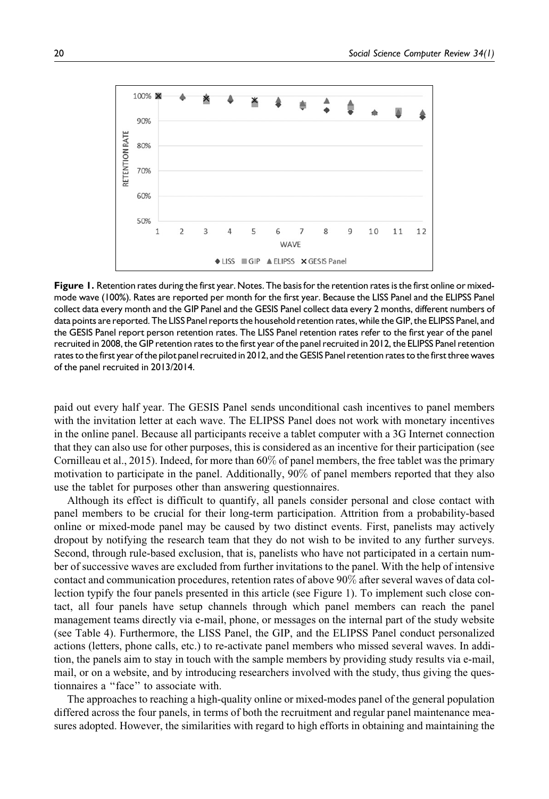

Figure 1. Retention rates during the first year. Notes. The basis for the retention rates is the first online or mixedmode wave (100%). Rates are reported per month for the first year. Because the LISS Panel and the ELIPSS Panel collect data every month and the GIP Panel and the GESIS Panel collect data every 2 months, different numbers of data points are reported. The LISS Panel reports the household retention rates, while the GIP, the ELIPSS Panel, and the GESIS Panel report person retention rates. The LISS Panel retention rates refer to the first year of the panel recruited in 2008, the GIP retention rates to the first year of the panel recruited in 2012, the ELIPSS Panel retention rates to the first year of the pilot panel recruited in 2012, and the GESIS Panel retention rates to the first three waves of the panel recruited in 2013/2014.

paid out every half year. The GESIS Panel sends unconditional cash incentives to panel members with the invitation letter at each wave. The ELIPSS Panel does not work with monetary incentives in the online panel. Because all participants receive a tablet computer with a 3G Internet connection that they can also use for other purposes, this is considered as an incentive for their participation (see Cornilleau et al., 2015). Indeed, for more than 60% of panel members, the free tablet was the primary motivation to participate in the panel. Additionally, 90% of panel members reported that they also use the tablet for purposes other than answering questionnaires.

Although its effect is difficult to quantify, all panels consider personal and close contact with panel members to be crucial for their long-term participation. Attrition from a probability-based online or mixed-mode panel may be caused by two distinct events. First, panelists may actively dropout by notifying the research team that they do not wish to be invited to any further surveys. Second, through rule-based exclusion, that is, panelists who have not participated in a certain number of successive waves are excluded from further invitations to the panel. With the help of intensive contact and communication procedures, retention rates of above 90% after several waves of data collection typify the four panels presented in this article (see Figure 1). To implement such close contact, all four panels have setup channels through which panel members can reach the panel management teams directly via e-mail, phone, or messages on the internal part of the study website (see Table 4). Furthermore, the LISS Panel, the GIP, and the ELIPSS Panel conduct personalized actions (letters, phone calls, etc.) to re-activate panel members who missed several waves. In addition, the panels aim to stay in touch with the sample members by providing study results via e-mail, mail, or on a website, and by introducing researchers involved with the study, thus giving the questionnaires a ''face'' to associate with.

The approaches to reaching a high-quality online or mixed-modes panel of the general population differed across the four panels, in terms of both the recruitment and regular panel maintenance measures adopted. However, the similarities with regard to high efforts in obtaining and maintaining the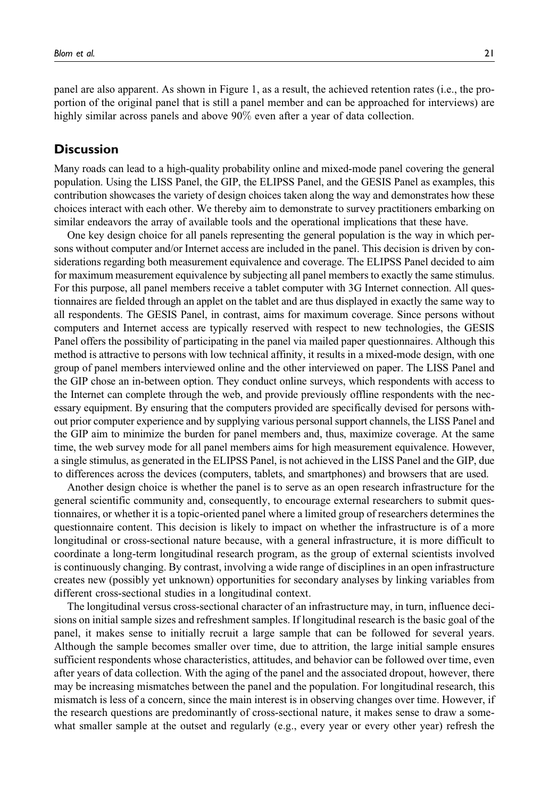panel are also apparent. As shown in Figure 1, as a result, the achieved retention rates (i.e., the proportion of the original panel that is still a panel member and can be approached for interviews) are highly similar across panels and above 90% even after a year of data collection.

## **Discussion**

Many roads can lead to a high-quality probability online and mixed-mode panel covering the general population. Using the LISS Panel, the GIP, the ELIPSS Panel, and the GESIS Panel as examples, this contribution showcases the variety of design choices taken along the way and demonstrates how these choices interact with each other. We thereby aim to demonstrate to survey practitioners embarking on similar endeavors the array of available tools and the operational implications that these have.

One key design choice for all panels representing the general population is the way in which persons without computer and/or Internet access are included in the panel. This decision is driven by considerations regarding both measurement equivalence and coverage. The ELIPSS Panel decided to aim for maximum measurement equivalence by subjecting all panel members to exactly the same stimulus. For this purpose, all panel members receive a tablet computer with 3G Internet connection. All questionnaires are fielded through an applet on the tablet and are thus displayed in exactly the same way to all respondents. The GESIS Panel, in contrast, aims for maximum coverage. Since persons without computers and Internet access are typically reserved with respect to new technologies, the GESIS Panel offers the possibility of participating in the panel via mailed paper questionnaires. Although this method is attractive to persons with low technical affinity, it results in a mixed-mode design, with one group of panel members interviewed online and the other interviewed on paper. The LISS Panel and the GIP chose an in-between option. They conduct online surveys, which respondents with access to the Internet can complete through the web, and provide previously offline respondents with the necessary equipment. By ensuring that the computers provided are specifically devised for persons without prior computer experience and by supplying various personal support channels, the LISS Panel and the GIP aim to minimize the burden for panel members and, thus, maximize coverage. At the same time, the web survey mode for all panel members aims for high measurement equivalence. However, a single stimulus, as generated in the ELIPSS Panel, is not achieved in the LISS Panel and the GIP, due to differences across the devices (computers, tablets, and smartphones) and browsers that are used.

Another design choice is whether the panel is to serve as an open research infrastructure for the general scientific community and, consequently, to encourage external researchers to submit questionnaires, or whether it is a topic-oriented panel where a limited group of researchers determines the questionnaire content. This decision is likely to impact on whether the infrastructure is of a more longitudinal or cross-sectional nature because, with a general infrastructure, it is more difficult to coordinate a long-term longitudinal research program, as the group of external scientists involved is continuously changing. By contrast, involving a wide range of disciplines in an open infrastructure creates new (possibly yet unknown) opportunities for secondary analyses by linking variables from different cross-sectional studies in a longitudinal context.

The longitudinal versus cross-sectional character of an infrastructure may, in turn, influence decisions on initial sample sizes and refreshment samples. If longitudinal research is the basic goal of the panel, it makes sense to initially recruit a large sample that can be followed for several years. Although the sample becomes smaller over time, due to attrition, the large initial sample ensures sufficient respondents whose characteristics, attitudes, and behavior can be followed over time, even after years of data collection. With the aging of the panel and the associated dropout, however, there may be increasing mismatches between the panel and the population. For longitudinal research, this mismatch is less of a concern, since the main interest is in observing changes over time. However, if the research questions are predominantly of cross-sectional nature, it makes sense to draw a somewhat smaller sample at the outset and regularly (e.g., every year or every other year) refresh the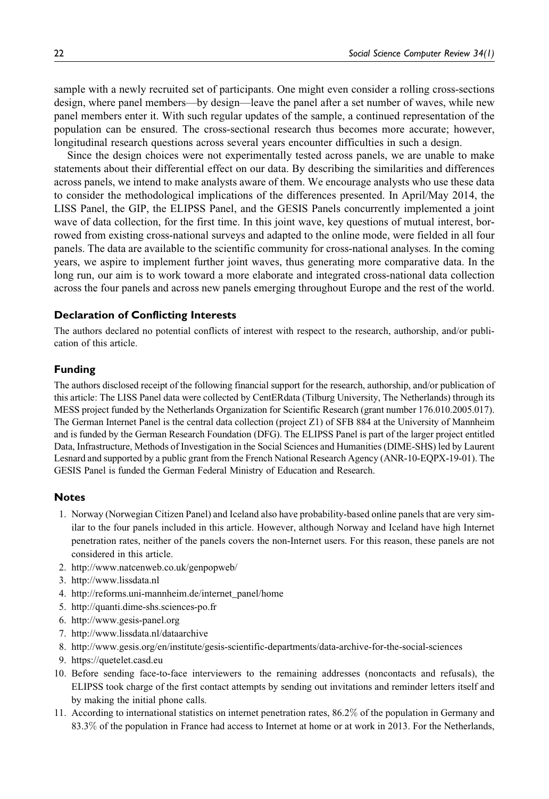sample with a newly recruited set of participants. One might even consider a rolling cross-sections design, where panel members—by design—leave the panel after a set number of waves, while new panel members enter it. With such regular updates of the sample, a continued representation of the population can be ensured. The cross-sectional research thus becomes more accurate; however, longitudinal research questions across several years encounter difficulties in such a design.

Since the design choices were not experimentally tested across panels, we are unable to make statements about their differential effect on our data. By describing the similarities and differences across panels, we intend to make analysts aware of them. We encourage analysts who use these data to consider the methodological implications of the differences presented. In April/May 2014, the LISS Panel, the GIP, the ELIPSS Panel, and the GESIS Panels concurrently implemented a joint wave of data collection, for the first time. In this joint wave, key questions of mutual interest, borrowed from existing cross-national surveys and adapted to the online mode, were fielded in all four panels. The data are available to the scientific community for cross-national analyses. In the coming years, we aspire to implement further joint waves, thus generating more comparative data. In the long run, our aim is to work toward a more elaborate and integrated cross-national data collection across the four panels and across new panels emerging throughout Europe and the rest of the world.

### Declaration of Conflicting Interests

The authors declared no potential conflicts of interest with respect to the research, authorship, and/or publication of this article.

#### Funding

The authors disclosed receipt of the following financial support for the research, authorship, and/or publication of this article: The LISS Panel data were collected by CentERdata (Tilburg University, The Netherlands) through its MESS project funded by the Netherlands Organization for Scientific Research (grant number 176.010.2005.017). The German Internet Panel is the central data collection (project Z1) of SFB 884 at the University of Mannheim and is funded by the German Research Foundation (DFG). The ELIPSS Panel is part of the larger project entitled Data, Infrastructure, Methods of Investigation in the Social Sciences and Humanities (DIME-SHS) led by Laurent Lesnard and supported by a public grant from the French National Research Agency (ANR-10-EQPX-19-01). The GESIS Panel is funded the German Federal Ministry of Education and Research.

#### **Notes**

- 1. Norway (Norwegian Citizen Panel) and Iceland also have probability-based online panels that are very similar to the four panels included in this article. However, although Norway and Iceland have high Internet penetration rates, neither of the panels covers the non-Internet users. For this reason, these panels are not considered in this article.
- 2. http://www.natcenweb.co.uk/genpopweb/
- 3. http://www.lissdata.nl
- 4. http://reforms.uni-mannheim.de/internet\_panel/home
- 5. http://quanti.dime-shs.sciences-po.fr
- 6. http://www.gesis-panel.org
- 7. http://www.lissdata.nl/dataarchive
- 8. http://www.gesis.org/en/institute/gesis-scientific-departments/data-archive-for-the-social-sciences
- 9. https://quetelet.casd.eu
- 10. Before sending face-to-face interviewers to the remaining addresses (noncontacts and refusals), the ELIPSS took charge of the first contact attempts by sending out invitations and reminder letters itself and by making the initial phone calls.
- 11. According to international statistics on internet penetration rates, 86.2% of the population in Germany and 83.3% of the population in France had access to Internet at home or at work in 2013. For the Netherlands,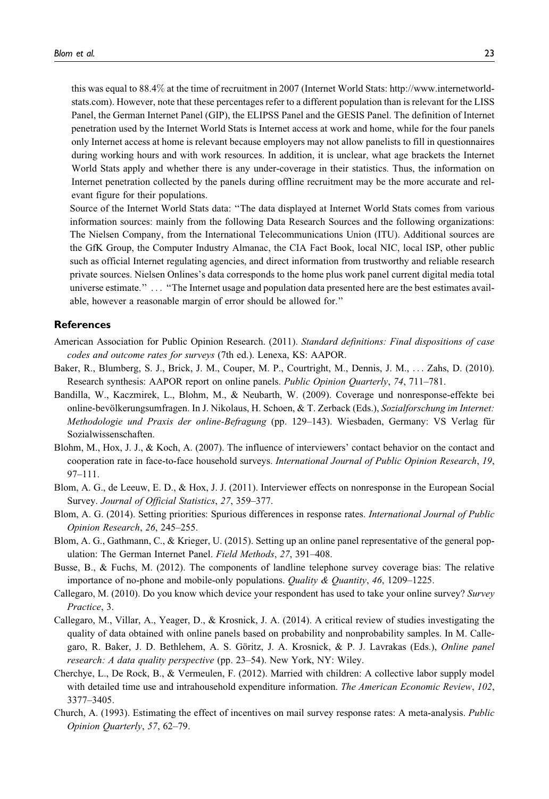this was equal to 88.4% at the time of recruitment in 2007 (Internet World Stats: http://www.internetworldstats.com). However, note that these percentages refer to a different population than is relevant for the LISS Panel, the German Internet Panel (GIP), the ELIPSS Panel and the GESIS Panel. The definition of Internet penetration used by the Internet World Stats is Internet access at work and home, while for the four panels only Internet access at home is relevant because employers may not allow panelists to fill in questionnaires during working hours and with work resources. In addition, it is unclear, what age brackets the Internet World Stats apply and whether there is any under-coverage in their statistics. Thus, the information on Internet penetration collected by the panels during offline recruitment may be the more accurate and relevant figure for their populations.

Source of the Internet World Stats data: ''The data displayed at Internet World Stats comes from various information sources: mainly from the following Data Research Sources and the following organizations: The Nielsen Company, from the International Telecommunications Union (ITU). Additional sources are the GfK Group, the Computer Industry Almanac, the CIA Fact Book, local NIC, local ISP, other public such as official Internet regulating agencies, and direct information from trustworthy and reliable research private sources. Nielsen Onlines's data corresponds to the home plus work panel current digital media total universe estimate.'' ... ''The Internet usage and population data presented here are the best estimates available, however a reasonable margin of error should be allowed for.''

#### **References**

- American Association for Public Opinion Research. (2011). Standard definitions: Final dispositions of case codes and outcome rates for surveys (7th ed.). Lenexa, KS: AAPOR.
- Baker, R., Blumberg, S. J., Brick, J. M., Couper, M. P., Courtright, M., Dennis, J. M., ... Zahs, D. (2010). Research synthesis: AAPOR report on online panels. Public Opinion Quarterly, 74, 711–781.
- Bandilla, W., Kaczmirek, L., Blohm, M., & Neubarth, W. (2009). Coverage und nonresponse-effekte bei online-bevölkerungsumfragen. In J. Nikolaus, H. Schoen, & T. Zerback (Eds.), Sozialforschung im Internet: Methodologie und Praxis der online-Befragung (pp. 129-143). Wiesbaden, Germany: VS Verlag für Sozialwissenschaften.
- Blohm, M., Hox, J. J., & Koch, A. (2007). The influence of interviewers' contact behavior on the contact and cooperation rate in face-to-face household surveys. International Journal of Public Opinion Research, 19, 97–111.
- Blom, A. G., de Leeuw, E. D., & Hox, J. J. (2011). Interviewer effects on nonresponse in the European Social Survey. Journal of Official Statistics, 27, 359–377.
- Blom, A. G. (2014). Setting priorities: Spurious differences in response rates. International Journal of Public Opinion Research, 26, 245–255.
- Blom, A. G., Gathmann, C., & Krieger, U. (2015). Setting up an online panel representative of the general population: The German Internet Panel. Field Methods, 27, 391-408.
- Busse, B., & Fuchs, M. (2012). The components of landline telephone survey coverage bias: The relative importance of no-phone and mobile-only populations. *Quality & Quantity*, 46, 1209–1225.
- Callegaro, M. (2010). Do you know which device your respondent has used to take your online survey? Survey Practice, 3.
- Callegaro, M., Villar, A., Yeager, D., & Krosnick, J. A. (2014). A critical review of studies investigating the quality of data obtained with online panels based on probability and nonprobability samples. In M. Callegaro, R. Baker, J. D. Bethlehem, A. S. Göritz, J. A. Krosnick, & P. J. Lavrakas (Eds.), Online panel research: A data quality perspective (pp. 23–54). New York, NY: Wiley.
- Cherchye, L., De Rock, B., & Vermeulen, F. (2012). Married with children: A collective labor supply model with detailed time use and intrahousehold expenditure information. The American Economic Review, 102, 3377–3405.
- Church, A. (1993). Estimating the effect of incentives on mail survey response rates: A meta-analysis. Public Opinion Quarterly, 57, 62–79.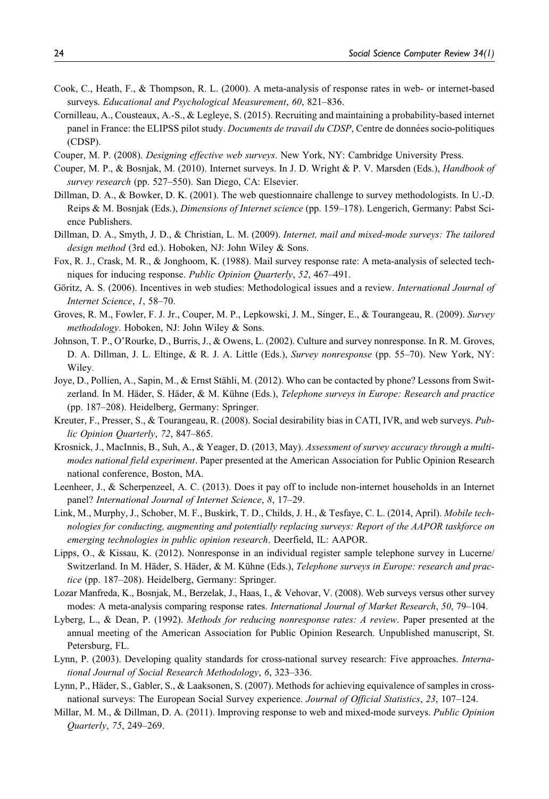- Cook, C., Heath, F., & Thompson, R. L. (2000). A meta-analysis of response rates in web- or internet-based surveys. Educational and Psychological Measurement, 60, 821–836.
- Cornilleau, A., Cousteaux, A.-S., & Legleye, S. (2015). Recruiting and maintaining a probability-based internet panel in France: the ELIPSS pilot study. *Documents de travail du CDSP*, Centre de données socio-politiques (CDSP).
- Couper, M. P. (2008). Designing effective web surveys. New York, NY: Cambridge University Press.
- Couper, M. P., & Bosnjak, M. (2010). Internet surveys. In J. D. Wright & P. V. Marsden (Eds.), Handbook of survey research (pp. 527–550). San Diego, CA: Elsevier.
- Dillman, D. A., & Bowker, D. K. (2001). The web questionnaire challenge to survey methodologists. In U.-D. Reips & M. Bosnjak (Eds.), Dimensions of Internet science (pp. 159-178). Lengerich, Germany: Pabst Science Publishers.
- Dillman, D. A., Smyth, J. D., & Christian, L. M. (2009). Internet, mail and mixed-mode surveys: The tailored design method (3rd ed.). Hoboken, NJ: John Wiley & Sons.
- Fox, R. J., Crask, M. R., & Jonghoom, K. (1988). Mail survey response rate: A meta-analysis of selected techniques for inducing response. Public Opinion Quarterly, 52, 467-491.
- Göritz, A. S. (2006). Incentives in web studies: Methodological issues and a review. International Journal of Internet Science, 1, 58–70.
- Groves, R. M., Fowler, F. J. Jr., Couper, M. P., Lepkowski, J. M., Singer, E., & Tourangeau, R. (2009). Survey methodology. Hoboken, NJ: John Wiley & Sons.
- Johnson, T. P., O'Rourke, D., Burris, J., & Owens, L. (2002). Culture and survey nonresponse. In R. M. Groves, D. A. Dillman, J. L. Eltinge, & R. J. A. Little (Eds.), Survey nonresponse (pp. 55–70). New York, NY: Wiley.
- Joye, D., Pollien, A., Sapin, M., & Ernst Stähli, M. (2012). Who can be contacted by phone? Lessons from Switzerland. In M. Häder, S. Häder, & M. Kühne (Eds.), Telephone surveys in Europe: Research and practice (pp. 187–208). Heidelberg, Germany: Springer.
- Kreuter, F., Presser, S., & Tourangeau, R. (2008). Social desirability bias in CATI, IVR, and web surveys. Public Opinion Quarterly, 72, 847–865.
- Krosnick, J., MacInnis, B., Suh, A., & Yeager, D. (2013, May). Assessment of survey accuracy through a multimodes national field experiment. Paper presented at the American Association for Public Opinion Research national conference, Boston, MA.
- Leenheer, J., & Scherpenzeel, A. C. (2013). Does it pay off to include non-internet households in an Internet panel? International Journal of Internet Science, 8, 17–29.
- Link, M., Murphy, J., Schober, M. F., Buskirk, T. D., Childs, J. H., & Tesfaye, C. L. (2014, April). Mobile technologies for conducting, augmenting and potentially replacing surveys: Report of the AAPOR taskforce on emerging technologies in public opinion research. Deerfield, IL: AAPOR.
- Lipps, O., & Kissau, K. (2012). Nonresponse in an individual register sample telephone survey in Lucerne/ Switzerland. In M. Häder, S. Häder, & M. Kühne (Eds.), Telephone surveys in Europe: research and practice (pp. 187–208). Heidelberg, Germany: Springer.
- Lozar Manfreda, K., Bosnjak, M., Berzelak, J., Haas, I., & Vehovar, V. (2008). Web surveys versus other survey modes: A meta-analysis comparing response rates. *International Journal of Market Research*, 50, 79–104.
- Lyberg, L., & Dean, P. (1992). Methods for reducing nonresponse rates: A review. Paper presented at the annual meeting of the American Association for Public Opinion Research. Unpublished manuscript, St. Petersburg, FL.
- Lynn, P. (2003). Developing quality standards for cross-national survey research: Five approaches. International Journal of Social Research Methodology, 6, 323–336.
- Lynn, P., Häder, S., Gabler, S., & Laaksonen, S. (2007). Methods for achieving equivalence of samples in crossnational surveys: The European Social Survey experience. Journal of Official Statistics, 23, 107-124.
- Millar, M. M., & Dillman, D. A. (2011). Improving response to web and mixed-mode surveys. Public Opinion Quarterly, 75, 249–269.